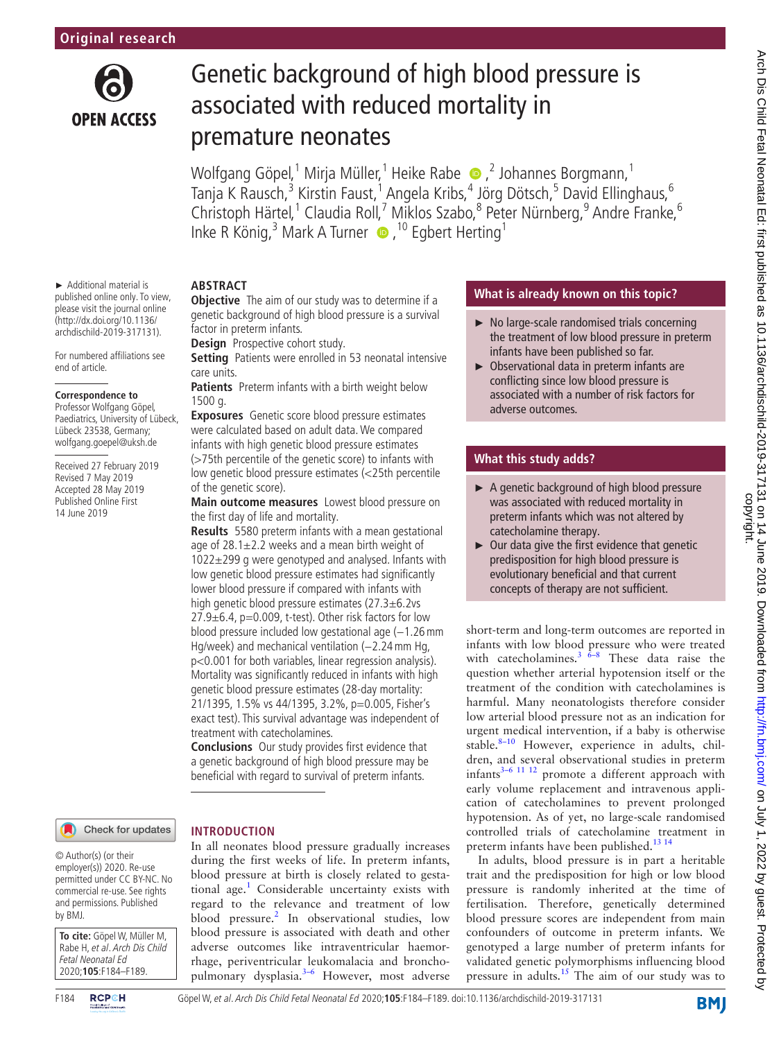

► Additional material is published online only. To view, please visit the journal online (http://dx.doi.org/10.1136/ archdischild-2019-317131). For numbered affiliations see

end of article.

**Correspondence to** Professor Wolfgang Göpel, Paediatrics, University of Lübeck, Lübeck 23538, Germany; wolfgang.goepel@uksh.de Received 27 February 2019 Revised 7 May 2019 Accepted 28 May 2019 Published Online First 14 June 2019

# Genetic background of high blood pressure is associated with reduced mortality in premature neonates

Wolfgang Göpel,<sup>1</sup> Mirja Müller,<sup>1</sup> Heike Rabe  $\bullet$  ,<sup>2</sup> Johannes Borgmann,<sup>1</sup> Tanja K Rausch,<sup>3</sup> Kirstin Faust,<sup>1</sup> Angela Kribs,<sup>4</sup> Jörg Dötsch,<sup>5</sup> David Ellinghaus,<sup>6</sup> Christoph Härtel,<sup>1</sup> Claudia Roll,<sup>7</sup> Miklos Szabo,<sup>8</sup> Peter Nürnberg,<sup>9</sup> Andre Franke,<sup>6</sup> Inke R König,<sup>3</sup> Mark A Turner  $\bullet$ , <sup>10</sup> Egbert Herting<sup>1</sup>

# **Abstract**

**Objective** The aim of our study was to determine if a genetic background of high blood pressure is a survival factor in preterm infants.

**Design** Prospective cohort study.

**Setting** Patients were enrolled in 53 neonatal intensive care units.

**Patients** Preterm infants with a birth weight below 1500 g.

**Exposures** Genetic score blood pressure estimates were calculated based on adult data. We compared infants with high genetic blood pressure estimates (>75th percentile of the genetic score) to infants with low genetic blood pressure estimates (<25th percentile of the genetic score).

**Main outcome measures** Lowest blood pressure on the first day of life and mortality.

**Results** 5580 preterm infants with a mean gestational age of  $28.1 \pm 2.2$  weeks and a mean birth weight of 1022±299 g were genotyped and analysed. Infants with low genetic blood pressure estimates had significantly lower blood pressure if compared with infants with high genetic blood pressure estimates (27.3±6.2vs  $27.9\pm6.4$ , p=0.009, t-test). Other risk factors for low blood pressure included low gestational age (-1.26 mm Hg/week) and mechanical ventilation (-2.24 mm Hg, p<0.001 for both variables, linear regression analysis). Mortality was significantly reduced in infants with high genetic blood pressure estimates (28-day mortality: 21/1395, 1.5% vs 44/1395, 3.2%, p=0.005, Fisher's exact test). This survival advantage was independent of treatment with catecholamines.

**Conclusions** Our study provides first evidence that a genetic background of high blood pressure may be beneficial with regard to survival of preterm infants.

In all neonates blood pressure gradually increases during the first weeks of life. In preterm infants, blood pressure at birth is closely related to gesta-tional age.<sup>[1](#page-5-0)</sup> Considerable uncertainty exists with regard to the relevance and treatment of low blood pressure.<sup>2</sup> In observational studies, low blood pressure is associated with death and other adverse outcomes like intraventricular haemorrhage, periventricular leukomalacia and bronchopulmonary dysplasia.[3–6](#page-5-2) However, most adverse

**Introduction**

#### Check for updates

© Author(s) (or their employer(s)) 2020. Re-use permitted under CC BY-NC. No commercial re-use. See rights and permissions. Published by BMJ.

**To cite:** Göpel W, Müller M, Rabe H, et al. Arch Dis Child Fetal Neonatal Ed 2020;**105**:F184–F189.



#### F184 Göpel W, et al. Arch Dis Child Fetal Neonatal Ed 2020;**105**:F184–F189. doi:10.1136/archdischild-2019-317131

# **What is already known on this topic?**

- ► No large-scale randomised trials concerning the treatment of low blood pressure in preterm infants have been published so far.
- ► Observational data in preterm infants are conflicting since low blood pressure is associated with a number of risk factors for adverse outcomes.

# **What this study adds?**

- ► A genetic background of high blood pressure was associated with reduced mortality in preterm infants which was not altered by catecholamine therapy.
- ► Our data give the first evidence that genetic predisposition for high blood pressure is evolutionary beneficial and that current concepts of therapy are not sufficient.

short-term and long-term outcomes are reported in infants with low blood pressure who were treated with catecholamines.<sup>3  $\overline{6}$ -8 These data raise the</sup> question whether arterial hypotension itself or the treatment of the condition with catecholamines is harmful. Many neonatologists therefore consider low arterial blood pressure not as an indication for urgent medical intervention, if a baby is otherwise stable. $8-10$  However, experience in adults, children, and several observational studies in preterm infants $3-6$  11 12 promote a different approach with early volume replacement and intravenous application of catecholamines to prevent prolonged hypotension. As of yet, no large-scale randomised controlled trials of catecholamine treatment in preterm infants have been published.<sup>13 14</sup>

In adults, blood pressure is in part a heritable trait and the predisposition for high or low blood pressure is randomly inherited at the time of fertilisation. Therefore, genetically determined blood pressure scores are independent from main confounders of outcome in preterm infants. We genotyped a large number of preterm infants for validated genetic polymorphisms influencing blood pressure in adults.[15](#page-5-5) The aim of our study was to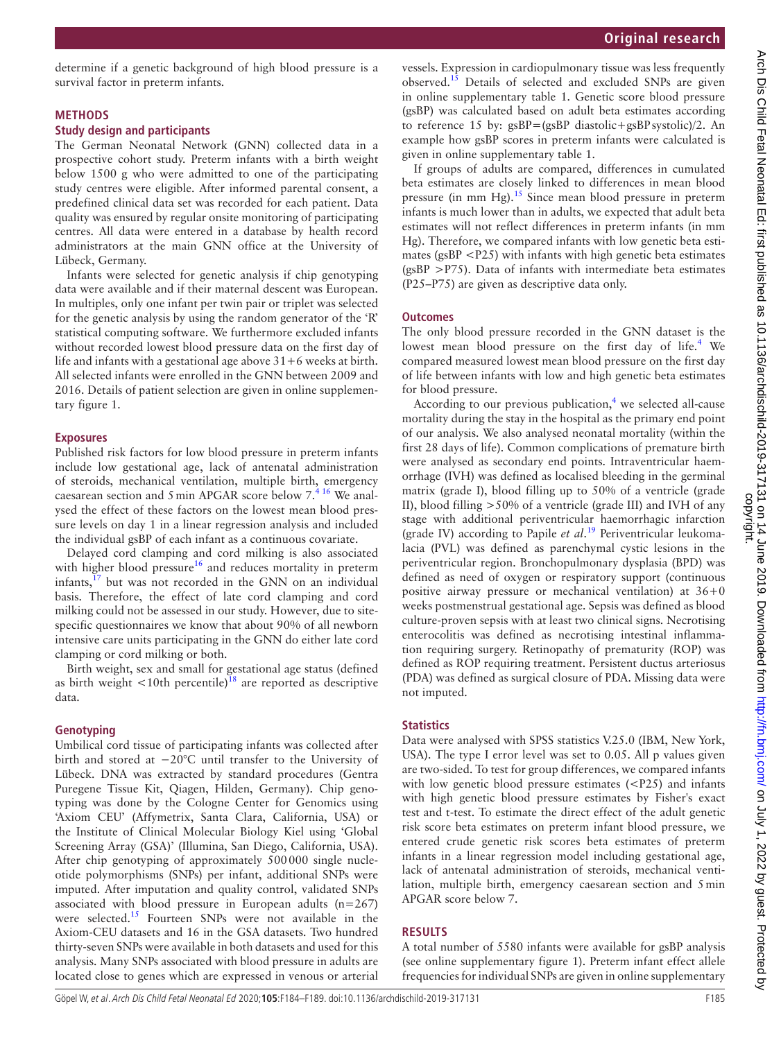determine if a genetic background of high blood pressure is a survival factor in preterm infants.

#### **Methods**

#### **Study design and participants**

The German Neonatal Network (GNN) collected data in a prospective cohort study. Preterm infants with a birth weight below 1500 g who were admitted to one of the participating study centres were eligible. After informed parental consent, a predefined clinical data set was recorded for each patient. Data quality was ensured by regular onsite monitoring of participating centres. All data were entered in a database by health record administrators at the main GNN office at the University of Lübeck, Germany.

Infants were selected for genetic analysis if chip genotyping data were available and if their maternal descent was European. In multiples, only one infant per twin pair or triplet was selected for the genetic analysis by using the random generator of the 'R' statistical computing software. We furthermore excluded infants without recorded lowest blood pressure data on the first day of life and infants with a gestational age above  $31+6$  weeks at birth. All selected infants were enrolled in the GNN between 2009 and 2016. Details of patient selection are given in online [supplemen](https://dx.doi.org/10.1136/archdischild-2019-317131)[tary figure 1.](https://dx.doi.org/10.1136/archdischild-2019-317131)

#### **Exposures**

Published risk factors for low blood pressure in preterm infants include low gestational age, lack of antenatal administration of steroids, mechanical ventilation, multiple birth, emergency caesarean section and 5min APGAR score below 7.[4 16](#page-5-6) We analysed the effect of these factors on the lowest mean blood pressure levels on day 1 in a linear regression analysis and included the individual gsBP of each infant as a continuous covariate.

Delayed cord clamping and cord milking is also associated with higher blood pressure<sup>16</sup> and reduces mortality in preterm infants, $17$  but was not recorded in the GNN on an individual basis. Therefore, the effect of late cord clamping and cord milking could not be assessed in our study. However, due to sitespecific questionnaires we know that about 90% of all newborn intensive care units participating in the GNN do either late cord clamping or cord milking or both.

Birth weight, sex and small for gestational age status (defined as birth weight  $\langle 10$ th percentile)<sup>18</sup> are reported as descriptive data.

#### **Genotyping**

Umbilical cord tissue of participating infants was collected after birth and stored at −20°C until transfer to the University of Lübeck. DNA was extracted by standard procedures (Gentra Puregene Tissue Kit, Qiagen, Hilden, Germany). Chip genotyping was done by the Cologne Center for Genomics using 'Axiom CEU' (Affymetrix, Santa Clara, California, USA) or the Institute of Clinical Molecular Biology Kiel using 'Global Screening Array (GSA)' (Illumina, San Diego, California, USA). After chip genotyping of approximately 500000 single nucleotide polymorphisms (SNPs) per infant, additional SNPs were imputed. After imputation and quality control, validated SNPs associated with blood pressure in European adults (n=267) were selected.<sup>[15](#page-5-5)</sup> Fourteen SNPs were not available in the Axiom-CEU datasets and 16 in the GSA datasets. Two hundred thirty-seven SNPs were available in both datasets and used for this analysis. Many SNPs associated with blood pressure in adults are located close to genes which are expressed in venous or arterial

vessels. Expression in cardiopulmonary tissue was less frequently observed.<sup>[15](#page-5-5)</sup> Details of selected and excluded SNPs are given in online [supplementary table 1.](https://dx.doi.org/10.1136/archdischild-2019-317131) Genetic score blood pressure (gsBP) was calculated based on adult beta estimates according to reference 15 by: gsBP=(gsBP diastolic+gsBPsystolic)/2. An example how gsBP scores in preterm infants were calculated is given in online [supplementary table 1.](https://dx.doi.org/10.1136/archdischild-2019-317131)

If groups of adults are compared, differences in cumulated beta estimates are closely linked to differences in mean blood pressure (in mm Hg).[15](#page-5-5) Since mean blood pressure in preterm infants is much lower than in adults, we expected that adult beta estimates will not reflect differences in preterm infants (in mm Hg). Therefore, we compared infants with low genetic beta estimates ( $\text{gsBP}$  <P25) with infants with high genetic beta estimates  $(gsBP > P75)$ . Data of infants with intermediate beta estimates (P25–P75) are given as descriptive data only.

#### **Outcomes**

The only blood pressure recorded in the GNN dataset is the lowest mean blood pressure on the first day of life.<sup>4</sup> We compared measured lowest mean blood pressure on the first day of life between infants with low and high genetic beta estimates for blood pressure.

According to our previous publication,<sup>[4](#page-5-6)</sup> we selected all-cause mortality during the stay in the hospital as the primary end point of our analysis. We also analysed neonatal mortality (within the first 28 days of life). Common complications of premature birth were analysed as secondary end points. Intraventricular haemorrhage (IVH) was defined as localised bleeding in the germinal matrix (grade I), blood filling up to 50% of a ventricle (grade II), blood filling >50% of a ventricle (grade III) and IVH of any stage with additional periventricular haemorrhagic infarction (grade IV) according to Papile *et al*. [19](#page-5-10) Periventricular leukomalacia (PVL) was defined as parenchymal cystic lesions in the periventricular region. Bronchopulmonary dysplasia (BPD) was defined as need of oxygen or respiratory support (continuous positive airway pressure or mechanical ventilation) at 36+0 weeks postmenstrual gestational age. Sepsis was defined as blood culture-proven sepsis with at least two clinical signs. Necrotising enterocolitis was defined as necrotising intestinal inflammation requiring surgery. Retinopathy of prematurity (ROP) was defined as ROP requiring treatment. Persistent ductus arteriosus (PDA) was defined as surgical closure of PDA. Missing data were not imputed.

### **Statistics**

Data were analysed with SPSS statistics V.25.0 (IBM, New York, USA). The type I error level was set to 0.05. All p values given are two-sided. To test for group differences, we compared infants with low genetic blood pressure estimates  $(**P**25)$  and infants with high genetic blood pressure estimates by Fisher's exact test and t-test. To estimate the direct effect of the adult genetic risk score beta estimates on preterm infant blood pressure, we entered crude genetic risk scores beta estimates of preterm infants in a linear regression model including gestational age, lack of antenatal administration of steroids, mechanical ventilation, multiple birth, emergency caesarean section and 5min APGAR score below 7.

### **Results**

A total number of 5580 infants were available for gsBP analysis (see online [supplementary figure 1](https://dx.doi.org/10.1136/archdischild-2019-317131)). Preterm infant effect allele frequencies for individual SNPs are given in online [supplementary](https://dx.doi.org/10.1136/archdischild-2019-317131)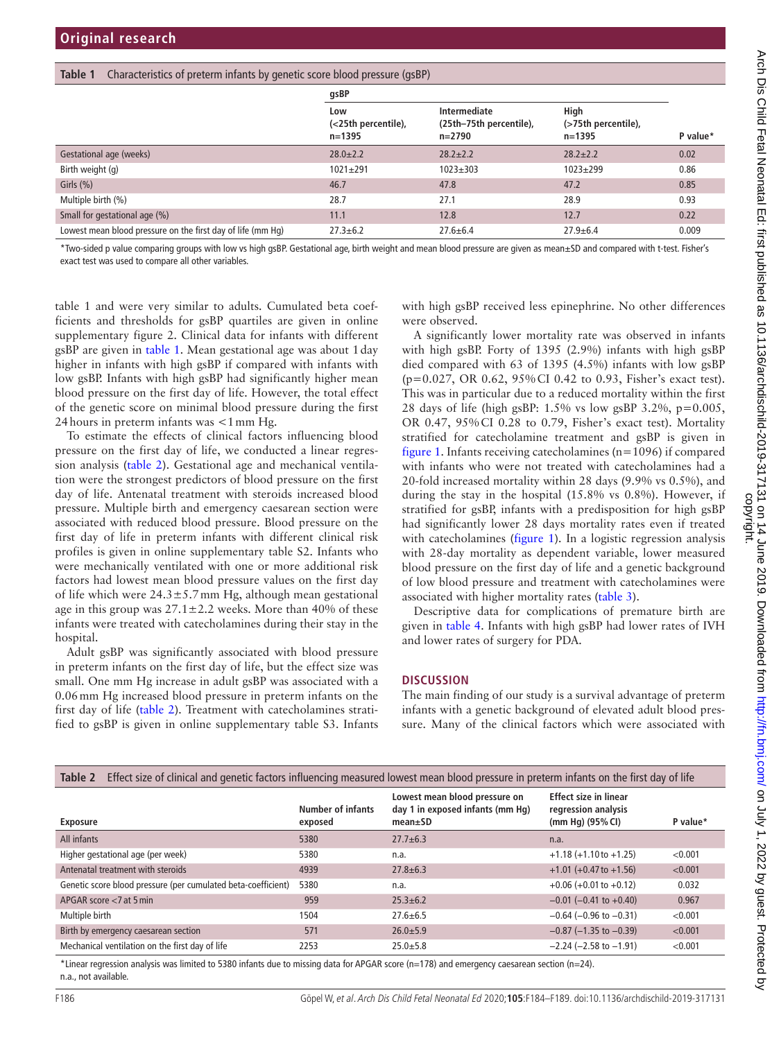<span id="page-2-0"></span>

|                                                             | gsBP                                     |                                                   |                                       |          |  |
|-------------------------------------------------------------|------------------------------------------|---------------------------------------------------|---------------------------------------|----------|--|
|                                                             | Low<br>(<25th percentile),<br>$n = 1395$ | Intermediate<br>(25th-75th percentile),<br>n=2790 | High<br>(>75th percentile),<br>n=1395 | P value* |  |
| Gestational age (weeks)                                     | $28.0 \pm 2.2$                           | $28.2 \pm 2.2$                                    | $28.2 \pm 2.2$                        | 0.02     |  |
| Birth weight (g)                                            | $1021 + 291$                             | $1023 \pm 303$                                    | $1023 + 299$                          | 0.86     |  |
| Girls $(\% )$                                               | 46.7                                     | 47.8                                              | 47.2                                  | 0.85     |  |
| Multiple birth (%)                                          | 28.7                                     | 27.1                                              | 28.9                                  | 0.93     |  |
| Small for gestational age (%)                               | 11.1                                     | 12.8                                              | 12.7                                  | 0.22     |  |
| Lowest mean blood pressure on the first day of life (mm Hg) | $27.3 \pm 6.2$                           | $27.6 \pm 6.4$                                    | $27.9 + 6.4$                          | 0.009    |  |

\*Two-sided p value comparing groups with low vs high gsBP. Gestational age, birth weight and mean blood pressure are given as mean±SD and compared with t-test. Fisher's exact test was used to compare all other variables.

[table 1](https://dx.doi.org/10.1136/archdischild-2019-317131) and were very similar to adults. Cumulated beta coefficients and thresholds for gsBP quartiles are given in online [supplementary figure 2.](https://dx.doi.org/10.1136/archdischild-2019-317131) Clinical data for infants with different gsBP are given in [table](#page-2-0) 1. Mean gestational age was about 1day higher in infants with high gsBP if compared with infants with low gsBP. Infants with high gsBP had significantly higher mean blood pressure on the first day of life. However, the total effect of the genetic score on minimal blood pressure during the first 24hours in preterm infants was <1mm Hg.

To estimate the effects of clinical factors influencing blood pressure on the first day of life, we conducted a linear regression analysis ([table](#page-2-1) 2). Gestational age and mechanical ventilation were the strongest predictors of blood pressure on the first day of life. Antenatal treatment with steroids increased blood pressure. Multiple birth and emergency caesarean section were associated with reduced blood pressure. Blood pressure on the first day of life in preterm infants with different clinical risk profiles is given in online [supplementary table S2](https://dx.doi.org/10.1136/archdischild-2019-317131). Infants who were mechanically ventilated with one or more additional risk factors had lowest mean blood pressure values on the first day of life which were  $24.3 \pm 5.7$  mm Hg, although mean gestational age in this group was  $27.1 \pm 2.2$  weeks. More than 40% of these infants were treated with catecholamines during their stay in the hospital.

Adult gsBP was significantly associated with blood pressure in preterm infants on the first day of life, but the effect size was small. One mm Hg increase in adult gsBP was associated with a 0.06mm Hg increased blood pressure in preterm infants on the first day of life ([table](#page-2-1) 2). Treatment with catecholamines stratified to gsBP is given in online [supplementary table S3](https://dx.doi.org/10.1136/archdischild-2019-317131). Infants

with high gsBP received less epinephrine. No other differences were observed.

A significantly lower mortality rate was observed in infants with high gsBP. Forty of 1395 (2.9%) infants with high gsBP died compared with 63 of 1395 (4.5%) infants with low gsBP (p=0.027, OR 0.62, 95%CI 0.42 to 0.93, Fisher's exact test). This was in particular due to a reduced mortality within the first 28 days of life (high gsBP:  $1.5\%$  vs low gsBP 3.2%, p=0.005, OR 0.47, 95%CI 0.28 to 0.79, Fisher's exact test). Mortality stratified for catecholamine treatment and gsBP is given in [figure](#page-3-0) 1. Infants receiving catecholamines (n=1096) if compared with infants who were not treated with catecholamines had a 20-fold increased mortality within 28 days (9.9% vs 0.5%), and during the stay in the hospital (15.8% vs 0.8%). However, if stratified for gsBP, infants with a predisposition for high gsBP had significantly lower 28 days mortality rates even if treated with catecholamines [\(figure](#page-3-0) 1). In a logistic regression analysis with 28-day mortality as dependent variable, lower measured blood pressure on the first day of life and a genetic background of low blood pressure and treatment with catecholamines were associated with higher mortality rates [\(table](#page-3-1) 3).

Descriptive data for complications of premature birth are given in [table](#page-4-0) 4. Infants with high gsBP had lower rates of IVH and lower rates of surgery for PDA.

#### **Discussion**

The main finding of our study is a survival advantage of preterm infants with a genetic background of elevated adult blood pressure. Many of the clinical factors which were associated with

<span id="page-2-1"></span>

| Effect size of clinical and genetic factors influencing measured lowest mean blood pressure in preterm infants on the first day of life<br>Table 2 |                                     |                                                                                    |                                                                           |          |  |  |
|----------------------------------------------------------------------------------------------------------------------------------------------------|-------------------------------------|------------------------------------------------------------------------------------|---------------------------------------------------------------------------|----------|--|--|
| <b>Exposure</b>                                                                                                                                    | <b>Number of infants</b><br>exposed | Lowest mean blood pressure on<br>day 1 in exposed infants (mm Hg)<br>$mean \pm SD$ | <b>Effect size in linear</b><br>regression analysis<br>(mm Hg) $(95%$ CI) | P value* |  |  |
| All infants                                                                                                                                        | 5380                                | $27.7 + 6.3$                                                                       | n.a.                                                                      |          |  |  |
| Higher gestational age (per week)                                                                                                                  | 5380                                | n.a.                                                                               | $+1.18 (+1.10 to +1.25)$                                                  | < 0.001  |  |  |
| Antenatal treatment with steroids                                                                                                                  | 4939                                | $27.8 + 6.3$                                                                       | $+1.01 (+0.47$ to $+1.56)$                                                | < 0.001  |  |  |
| Genetic score blood pressure (per cumulated beta-coefficient)                                                                                      | 5380                                | n.a.                                                                               | $+0.06$ (+0.01 to +0.12)                                                  | 0.032    |  |  |
| APGAR score $<$ 7 at 5 min                                                                                                                         | 959                                 | $25.3 + 6.2$                                                                       | $-0.01$ (-0.41 to +0.40)                                                  | 0.967    |  |  |
| Multiple birth                                                                                                                                     | 1504                                | $27.6 \pm 6.5$                                                                     | $-0.64$ ( $-0.96$ to $-0.31$ )                                            | < 0.001  |  |  |
| Birth by emergency caesarean section                                                                                                               | 571                                 | $26.0 + 5.9$                                                                       | $-0.87$ (-1.35 to $-0.39$ )                                               | < 0.001  |  |  |
| Mechanical ventilation on the first day of life                                                                                                    | 2253                                | $25.0 + 5.8$                                                                       | $-2.24$ ( $-2.58$ to $-1.91$ )                                            | < 0.001  |  |  |
| the contract of the contract of the contract of the contract of the contract of the contract of the contract of                                    |                                     | $\lambda = \lambda$                                                                |                                                                           |          |  |  |

\*Linear regression analysis was limited to 5380 infants due to missing data for APGAR score (n=178) and emergency caesarean section (n=24). n.a., not available.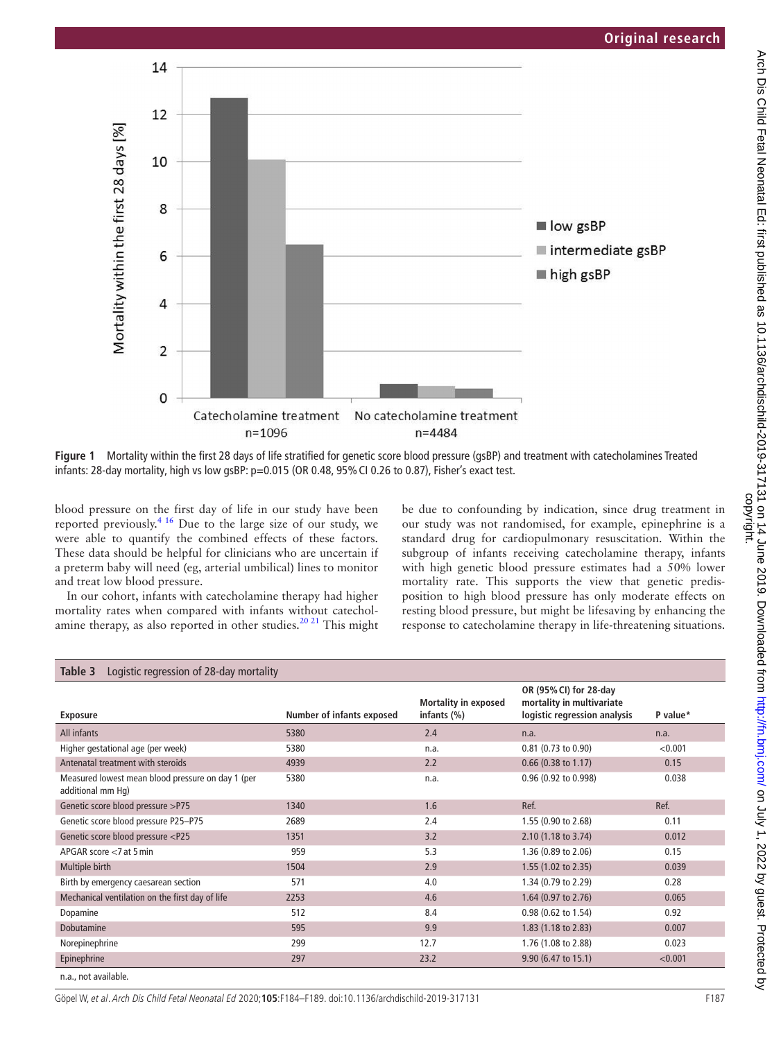

<span id="page-3-0"></span>**Figure 1** Mortality within the first 28 days of life stratified for genetic score blood pressure (gsBP) and treatment with catecholamines Treated infants: 28-day mortality, high vs low gsBP: p=0.015 (OR 0.48, 95% CI 0.26 to 0.87), Fisher's exact test.

blood pressure on the first day of life in our study have been reported previously[.4 16](#page-5-6) Due to the large size of our study, we were able to quantify the combined effects of these factors. These data should be helpful for clinicians who are uncertain if a preterm baby will need (eg, arterial umbilical) lines to monitor and treat low blood pressure.

In our cohort, infants with catecholamine therapy had higher mortality rates when compared with infants without catecholamine therapy, as also reported in other studies.<sup>20 21</sup> This might be due to confounding by indication, since drug treatment in our study was not randomised, for example, epinephrine is a standard drug for cardiopulmonary resuscitation. Within the subgroup of infants receiving catecholamine therapy, infants with high genetic blood pressure estimates had a 50% lower mortality rate. This supports the view that genetic predisposition to high blood pressure has only moderate effects on resting blood pressure, but might be lifesaving by enhancing the response to catecholamine therapy in life-threatening situations.

<span id="page-3-1"></span>

| Logistic regression of 28-day mortality<br>Table 3                                                                  |                           |                                               |                                                                                     |          |  |  |
|---------------------------------------------------------------------------------------------------------------------|---------------------------|-----------------------------------------------|-------------------------------------------------------------------------------------|----------|--|--|
| <b>Exposure</b>                                                                                                     | Number of infants exposed | <b>Mortality in exposed</b><br>infants $(\%)$ | OR (95% CI) for 28-day<br>mortality in multivariate<br>logistic regression analysis | P value* |  |  |
| All infants                                                                                                         | 5380                      | 2.4                                           | n.a.                                                                                | n.a.     |  |  |
| Higher gestational age (per week)                                                                                   | 5380                      | n.a.                                          | 0.81 (0.73 to 0.90)                                                                 | < 0.001  |  |  |
| Antenatal treatment with steroids                                                                                   | 4939                      | 2.2                                           | $0.66$ (0.38 to 1.17)                                                               | 0.15     |  |  |
| Measured lowest mean blood pressure on day 1 (per<br>additional mm Hq)                                              | 5380                      | n.a.                                          | 0.96 (0.92 to 0.998)                                                                | 0.038    |  |  |
| Genetic score blood pressure >P75                                                                                   | 1340                      | 1.6                                           | Ref.                                                                                | Ref.     |  |  |
| Genetic score blood pressure P25-P75                                                                                | 2689                      | 2.4                                           | 1.55 (0.90 to 2.68)                                                                 | 0.11     |  |  |
| Genetic score blood pressure <p25< td=""><td>1351</td><td>3.2</td><td>2.10 (1.18 to 3.74)</td><td>0.012</td></p25<> | 1351                      | 3.2                                           | 2.10 (1.18 to 3.74)                                                                 | 0.012    |  |  |
| APGAR score $<$ 7 at 5 min                                                                                          | 959                       | 5.3                                           | 1.36 (0.89 to 2.06)                                                                 | 0.15     |  |  |
| Multiple birth                                                                                                      | 1504                      | 2.9                                           | 1.55 (1.02 to 2.35)                                                                 | 0.039    |  |  |
| Birth by emergency caesarean section                                                                                | 571                       | 4.0                                           | 1.34 (0.79 to 2.29)                                                                 | 0.28     |  |  |
| Mechanical ventilation on the first day of life                                                                     | 2253                      | 4.6                                           | 1.64 (0.97 to 2.76)                                                                 | 0.065    |  |  |
| Dopamine                                                                                                            | 512                       | 8.4                                           | 0.98 (0.62 to 1.54)                                                                 | 0.92     |  |  |
| Dobutamine                                                                                                          | 595                       | 9.9                                           | 1.83 (1.18 to 2.83)                                                                 | 0.007    |  |  |
| Norepinephrine                                                                                                      | 299                       | 12.7                                          | 1.76 (1.08 to 2.88)                                                                 | 0.023    |  |  |
| Epinephrine                                                                                                         | 297                       | 23.2                                          | 9.90 (6.47 to 15.1)                                                                 | < 0.001  |  |  |
| n.a., not available.                                                                                                |                           |                                               |                                                                                     |          |  |  |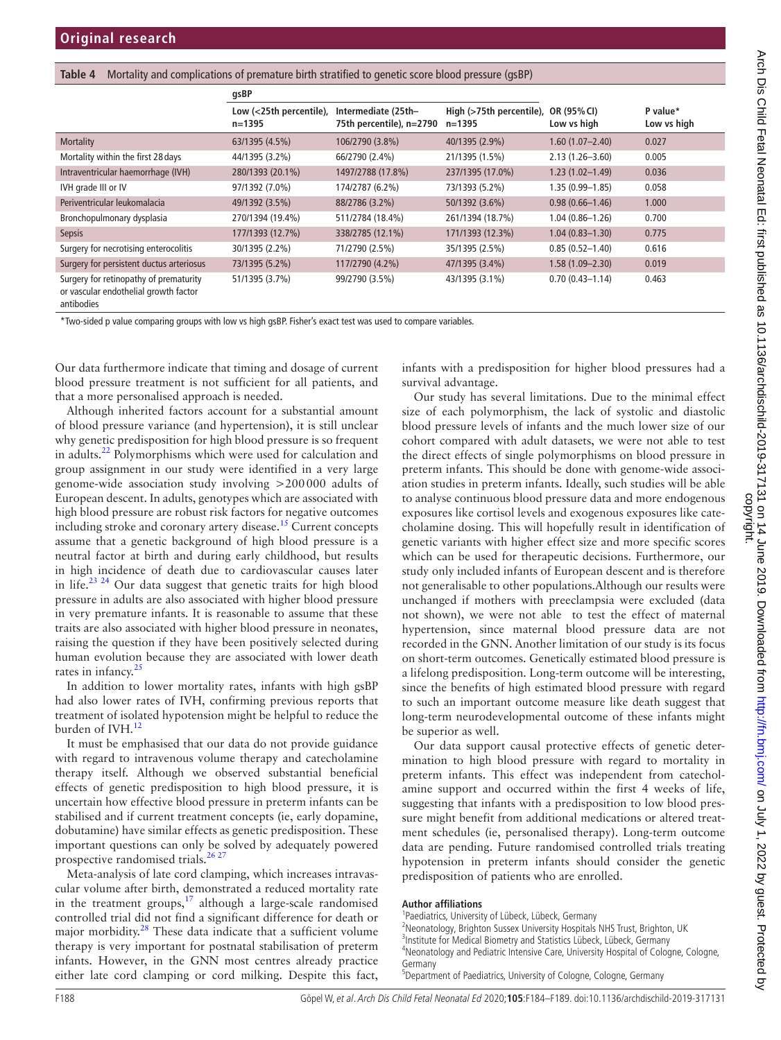<span id="page-4-0"></span>

|  |  |  | Table 4 Mortality and complications of premature birth stratified to genetic score blood pressure (gsBP) |  |  |  |  |
|--|--|--|----------------------------------------------------------------------------------------------------------|--|--|--|--|
|--|--|--|----------------------------------------------------------------------------------------------------------|--|--|--|--|

|                                                                                               | gsBP                                  |                                                 |                                        |                            |                         |
|-----------------------------------------------------------------------------------------------|---------------------------------------|-------------------------------------------------|----------------------------------------|----------------------------|-------------------------|
|                                                                                               | Low (<25th percentile),<br>$n = 1395$ | Intermediate (25th-<br>75th percentile), n=2790 | High (>75th percentile),<br>$n = 1395$ | OR (95% CI)<br>Low vs high | P value*<br>Low vs high |
| <b>Mortality</b>                                                                              | 63/1395 (4.5%)                        | 106/2790 (3.8%)                                 | 40/1395 (2.9%)                         | $1.60(1.07 - 2.40)$        | 0.027                   |
| Mortality within the first 28 days                                                            | 44/1395 (3.2%)                        | 66/2790 (2.4%)                                  | 21/1395 (1.5%)                         | $2.13(1.26 - 3.60)$        | 0.005                   |
| Intraventricular haemorrhage (IVH)                                                            | 280/1393 (20.1%)                      | 1497/2788 (17.8%)                               | 237/1395 (17.0%)                       | $1.23(1.02 - 1.49)$        | 0.036                   |
| IVH grade III or IV                                                                           | 97/1392 (7.0%)                        | 174/2787 (6.2%)                                 | 73/1393 (5.2%)                         | 1.35 (0.99–1.85)           | 0.058                   |
| Periventricular leukomalacia                                                                  | 49/1392 (3.5%)                        | 88/2786 (3.2%)                                  | 50/1392 (3.6%)                         | $0.98(0.66 - 1.46)$        | 1.000                   |
| Bronchopulmonary dysplasia                                                                    | 270/1394 (19.4%)                      | 511/2784 (18.4%)                                | 261/1394 (18.7%)                       | $1.04(0.86 - 1.26)$        | 0.700                   |
| <b>Sepsis</b>                                                                                 | 177/1393 (12.7%)                      | 338/2785 (12.1%)                                | 171/1393 (12.3%)                       | $1.04(0.83 - 1.30)$        | 0.775                   |
| Surgery for necrotising enterocolitis                                                         | 30/1395 (2.2%)                        | 71/2790 (2.5%)                                  | 35/1395 (2.5%)                         | $0.85(0.52 - 1.40)$        | 0.616                   |
| Surgery for persistent ductus arteriosus                                                      | 73/1395 (5.2%)                        | 117/2790 (4.2%)                                 | 47/1395 (3.4%)                         | $1.58(1.09 - 2.30)$        | 0.019                   |
| Surgery for retinopathy of prematurity<br>or vascular endothelial growth factor<br>antibodies | 51/1395 (3.7%)                        | 99/2790 (3.5%)                                  | 43/1395 (3.1%)                         | $0.70(0.43 - 1.14)$        | 0.463                   |

\*Two-sided p value comparing groups with low vs high gsBP. Fisher's exact test was used to compare variables.

Our data furthermore indicate that timing and dosage of current blood pressure treatment is not sufficient for all patients, and that a more personalised approach is needed.

Although inherited factors account for a substantial amount of blood pressure variance (and hypertension), it is still unclear why genetic predisposition for high blood pressure is so frequent in adults. $^{22}$  $^{22}$  $^{22}$  Polymorphisms which were used for calculation and group assignment in our study were identified in a very large genome-wide association study involving >200000 adults of European descent. In adults, genotypes which are associated with high blood pressure are robust risk factors for negative outcomes including stroke and coronary artery disease.<sup>[15](#page-5-5)</sup> Current concepts assume that a genetic background of high blood pressure is a neutral factor at birth and during early childhood, but results in high incidence of death due to cardiovascular causes later in life.[23 24](#page-5-13) Our data suggest that genetic traits for high blood pressure in adults are also associated with higher blood pressure in very premature infants. It is reasonable to assume that these traits are also associated with higher blood pressure in neonates, raising the question if they have been positively selected during human evolution because they are associated with lower death rates in infancy. $25$ 

In addition to lower mortality rates, infants with high gsBP had also lower rates of IVH, confirming previous reports that treatment of isolated hypotension might be helpful to reduce the burden of IVH.<sup>[12](#page-5-15)</sup>

It must be emphasised that our data do not provide guidance with regard to intravenous volume therapy and catecholamine therapy itself. Although we observed substantial beneficial effects of genetic predisposition to high blood pressure, it is uncertain how effective blood pressure in preterm infants can be stabilised and if current treatment concepts (ie, early dopamine, dobutamine) have similar effects as genetic predisposition. These important questions can only be solved by adequately powered prospective randomised trials.<sup>[26 27](#page-5-16)</sup>

Meta-analysis of late cord clamping, which increases intravascular volume after birth, demonstrated a reduced mortality rate in the treatment groups, $17$  although a large-scale randomised controlled trial did not find a significant difference for death or major morbidity.<sup>28</sup> These data indicate that a sufficient volume therapy is very important for postnatal stabilisation of preterm infants. However, in the GNN most centres already practice either late cord clamping or cord milking. Despite this fact,

infants with a predisposition for higher blood pressures had a survival advantage.

Our study has several limitations. Due to the minimal effect size of each polymorphism, the lack of systolic and diastolic blood pressure levels of infants and the much lower size of our cohort compared with adult datasets, we were not able to test the direct effects of single polymorphisms on blood pressure in preterm infants. This should be done with genome-wide association studies in preterm infants. Ideally, such studies will be able to analyse continuous blood pressure data and more endogenous exposures like cortisol levels and exogenous exposures like catecholamine dosing. This will hopefully result in identification of genetic variants with higher effect size and more specific scores which can be used for therapeutic decisions. Furthermore, our study only included infants of European descent and is therefore not generalisable to other populations.Although our results were unchanged if mothers with preeclampsia were excluded (data not shown), we were not able to test the effect of maternal hypertension, since maternal blood pressure data are not recorded in the GNN. Another limitation of our study is its focus on short-term outcomes. Genetically estimated blood pressure is a lifelong predisposition. Long-term outcome will be interesting, since the benefits of high estimated blood pressure with regard to such an important outcome measure like death suggest that long-term neurodevelopmental outcome of these infants might be superior as well.

Our data support causal protective effects of genetic determination to high blood pressure with regard to mortality in preterm infants. This effect was independent from catecholamine support and occurred within the first 4 weeks of life, suggesting that infants with a predisposition to low blood pressure might benefit from additional medications or altered treatment schedules (ie, personalised therapy). Long-term outcome data are pending. Future randomised controlled trials treating hypotension in preterm infants should consider the genetic predisposition of patients who are enrolled.

#### **Author affiliations**

- <sup>1</sup>Paediatrics, University of Lübeck, Lübeck, Germany <sup>2</sup>Neonatology, Brighton Sussex University Hospitals NHS Trust, Brighton, UK <sup>3</sup>Institute for Medical Biometry and Statistics Lübeck, Lübeck, Germany <sup>4</sup>Neonatology and Pediatric Intensive Care, University Hospital of Cologne, Cologne, Germany
- <sup>5</sup>Department of Paediatrics, University of Cologne, Cologne, Germany